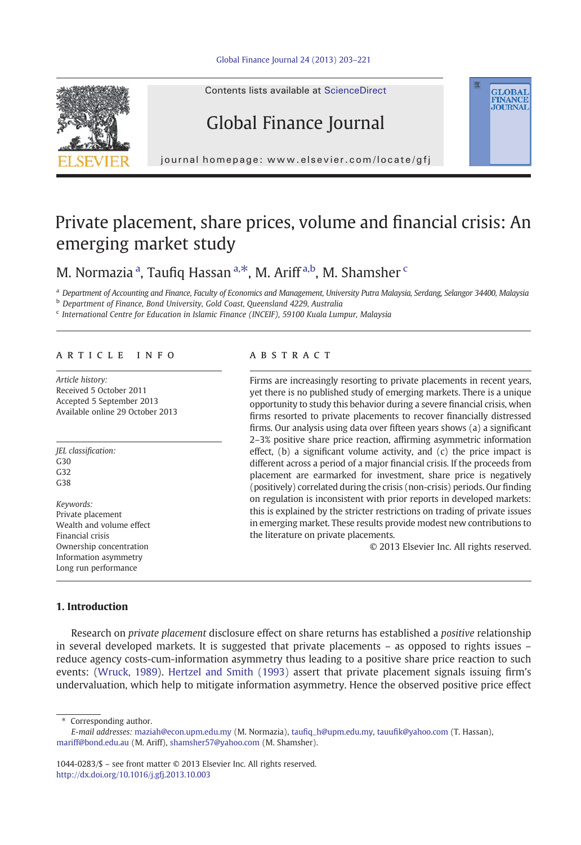



Contents lists available at ScienceDirect

# Global Finance Journal

journal homepage: www.elsevier.com/locate/gfj

# Private placement, share prices, volume and financial crisis: An emerging market study

## M. Normazia <sup>a</sup>, Taufiq Hassan <sup>a, $\ast$ </sup>, M. Ariff <sup>a,b</sup>, M. Shamsher <sup>c</sup>

<sup>a</sup> Department of Accounting and Finance, Faculty of Economics and Management, University Putra Malaysia, Serdang, Selangor 34400, Malaysia

**b** Department of Finance, Bond University, Gold Coast, Queensland 4229, Australia

<sup>c</sup> International Centre for Education in Islamic Finance (INCEIF), 59100 Kuala Lumpur, Malaysia

## article info abstract

Article history: Received 5 October 2011 Accepted 5 September 2013 Available online 29 October 2013

JEL classification: G30  $C32$ G38

Keywords: Private placement Wealth and volume effect Financial crisis Ownership concentration Information asymmetry Long run performance

Firms are increasingly resorting to private placements in recent years, yet there is no published study of emerging markets. There is a unique opportunity to study this behavior during a severe financial crisis, when firms resorted to private placements to recover financially distressed firms. Our analysis using data over fifteen years shows (a) a significant 2–3% positive share price reaction, affirming asymmetric information effect, (b) a significant volume activity, and (c) the price impact is different across a period of a major financial crisis. If the proceeds from placement are earmarked for investment, share price is negatively (positively) correlated during the crisis (non-crisis) periods. Our finding on regulation is inconsistent with prior reports in developed markets: this is explained by the stricter restrictions on trading of private issues in emerging market. These results provide modest new contributions to the literature on private placements.

© 2013 Elsevier Inc. All rights reserved.

**GLOBAL**<br>FINANCE **JOURNAL** 

## 1. Introduction

Research on private placement disclosure effect on share returns has established a positive relationship in several developed markets. It is suggested that private placements – as opposed to rights issues – reduce agency costs-cum-information asymmetry thus leading to a positive share price reaction to such events: ([Wruck, 1989\)](#page--1-0). [Hertzel and Smith \(1993\)](#page--1-0) assert that private placement signals issuing firm's undervaluation, which help to mitigate information asymmetry. Hence the observed positive price effect

Corresponding author.

E-mail addresses: [maziah@econ.upm.edu.my](mailto:maziah@econ.upm.edu.my) (M. Normazia), taufi[q\\_h@upm.edu.my](mailto:taufiq_h@upm.edu.my), tauufi[k@yahoo.com](mailto:tauufik@yahoo.com) (T. Hassan), [mariff@bond.edu.au](mailto:mariff@bond.edu.au) (M. Ariff), [shamsher57@yahoo.com](mailto:shamsher57@yahoo.com) (M. Shamsher).

1044-0283/\$ – see front matter © 2013 Elsevier Inc. All rights reserved. <http://dx.doi.org/10.1016/j.gfj.2013.10.003>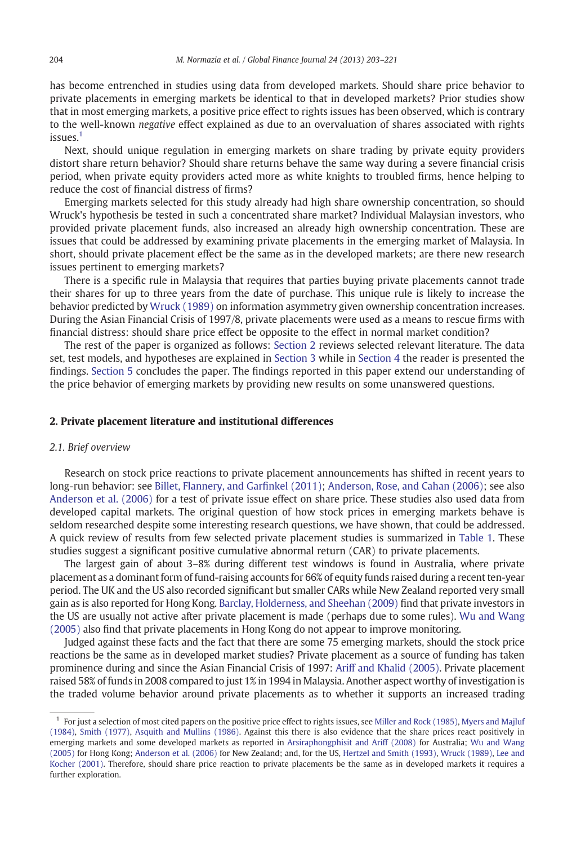has become entrenched in studies using data from developed markets. Should share price behavior to private placements in emerging markets be identical to that in developed markets? Prior studies show that in most emerging markets, a positive price effect to rights issues has been observed, which is contrary to the well-known negative effect explained as due to an overvaluation of shares associated with rights issues.<sup>1</sup>

Next, should unique regulation in emerging markets on share trading by private equity providers distort share return behavior? Should share returns behave the same way during a severe financial crisis period, when private equity providers acted more as white knights to troubled firms, hence helping to reduce the cost of financial distress of firms?

Emerging markets selected for this study already had high share ownership concentration, so should Wruck's hypothesis be tested in such a concentrated share market? Individual Malaysian investors, who provided private placement funds, also increased an already high ownership concentration. These are issues that could be addressed by examining private placements in the emerging market of Malaysia. In short, should private placement effect be the same as in the developed markets; are there new research issues pertinent to emerging markets?

There is a specific rule in Malaysia that requires that parties buying private placements cannot trade their shares for up to three years from the date of purchase. This unique rule is likely to increase the behavior predicted by [Wruck \(1989\)](#page--1-0) on information asymmetry given ownership concentration increases. During the Asian Financial Crisis of 1997/8, private placements were used as a means to rescue firms with financial distress: should share price effect be opposite to the effect in normal market condition?

The rest of the paper is organized as follows: Section 2 reviews selected relevant literature. The data set, test models, and hypotheses are explained in [Section 3](#page--1-0) while in [Section 4](#page--1-0) the reader is presented the findings. [Section 5](#page--1-0) concludes the paper. The findings reported in this paper extend our understanding of the price behavior of emerging markets by providing new results on some unanswered questions.

## 2. Private placement literature and institutional differences

### 2.1. Brief overview

Research on stock price reactions to private placement announcements has shifted in recent years to long-run behavior: see [Billet, Flannery, and Gar](#page--1-0)finkel (2011); [Anderson, Rose, and Cahan \(2006\);](#page--1-0) see also [Anderson et al. \(2006\)](#page--1-0) for a test of private issue effect on share price. These studies also used data from developed capital markets. The original question of how stock prices in emerging markets behave is seldom researched despite some interesting research questions, we have shown, that could be addressed. A quick review of results from few selected private placement studies is summarized in [Table 1.](#page--1-0) These studies suggest a significant positive cumulative abnormal return (CAR) to private placements.

The largest gain of about 3–8% during different test windows is found in Australia, where private placement as a dominant form of fund-raising accounts for 66% of equity funds raised during a recent ten-year period. The UK and the US also recorded significant but smaller CARs while New Zealand reported very small gain as is also reported for Hong Kong. [Barclay, Holderness, and Sheehan \(2009\)](#page--1-0) find that private investors in the US are usually not active after private placement is made (perhaps due to some rules). [Wu and Wang](#page--1-0) [\(2005\)](#page--1-0) also find that private placements in Hong Kong do not appear to improve monitoring.

Judged against these facts and the fact that there are some 75 emerging markets, should the stock price reactions be the same as in developed market studies? Private placement as a source of funding has taken prominence during and since the Asian Financial Crisis of 1997: [Ariff and Khalid \(2005\).](#page--1-0) Private placement raised 58% of funds in 2008 compared to just 1% in 1994 in Malaysia. Another aspect worthy of investigation is the traded volume behavior around private placements as to whether it supports an increased trading

 $<sup>1</sup>$  For just a selection of most cited papers on the positive price effect to rights issues, see [Miller and Rock \(1985\),](#page--1-0) [Myers and Majluf](#page--1-0)</sup> [\(1984\)](#page--1-0), [Smith \(1977\),](#page--1-0) [Asquith and Mullins \(1986\).](#page--1-0) Against this there is also evidence that the share prices react positively in emerging markets and some developed markets as reported in [Arsiraphongphisit and Ariff \(2008\)](#page--1-0) for Australia; [Wu and Wang](#page--1-0) [\(2005\)](#page--1-0) for Hong Kong; [Anderson et al. \(2006\)](#page--1-0) for New Zealand; and, for the US, [Hertzel and Smith \(1993\),](#page--1-0) [Wruck \(1989\),](#page--1-0) [Lee and](#page--1-0) [Kocher \(2001\)](#page--1-0). Therefore, should share price reaction to private placements be the same as in developed markets it requires a further exploration.